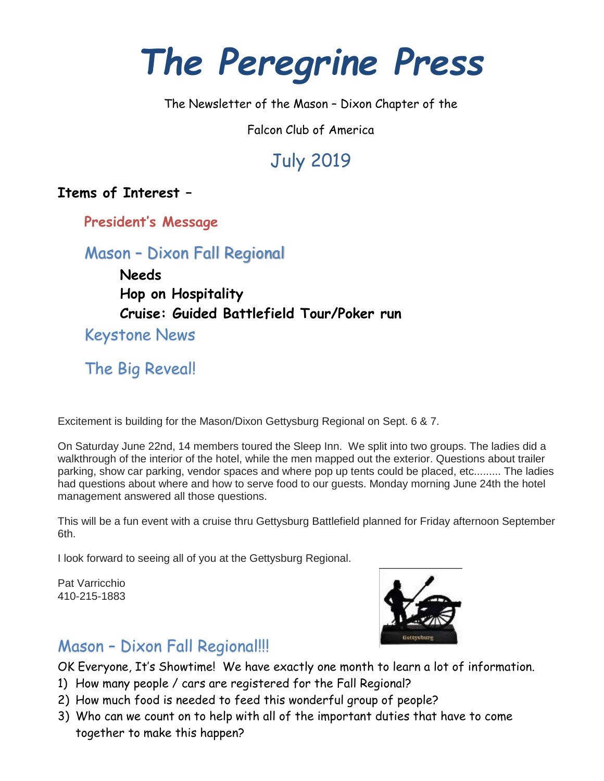# *The Peregrine Press*

The Newsletter of the Mason – Dixon Chapter of the

Falcon Club of America

## July 2019

**Items of Interest –**

**President's Message**

Mason – Dixon Fall Regional

**Needs Hop on Hospitality Cruise: Guided Battlefield Tour/Poker run** Keystone News

The Big Reveal!

Excitement is building for the Mason/Dixon Gettysburg Regional on Sept. 6 & 7.

On Saturday June 22nd, 14 members toured the Sleep Inn. We split into two groups. The ladies did a walkthrough of the interior of the hotel, while the men mapped out the exterior. Questions about trailer parking, show car parking, vendor spaces and where pop up tents could be placed, etc......... The ladies had questions about where and how to serve food to our guests. Monday morning June 24th the hotel management answered all those questions.

This will be a fun event with a cruise thru Gettysburg Battlefield planned for Friday afternoon September 6th.

I look forward to seeing all of you at the Gettysburg Regional.

Pat Varricchio 410-215-1883



### Mason – Dixon Fall Regional!!!

OK Everyone, It's Showtime! We have exactly one month to learn a lot of information.

- 1) How many people / cars are registered for the Fall Regional?
- 2) How much food is needed to feed this wonderful group of people?
- 3) Who can we count on to help with all of the important duties that have to come together to make this happen?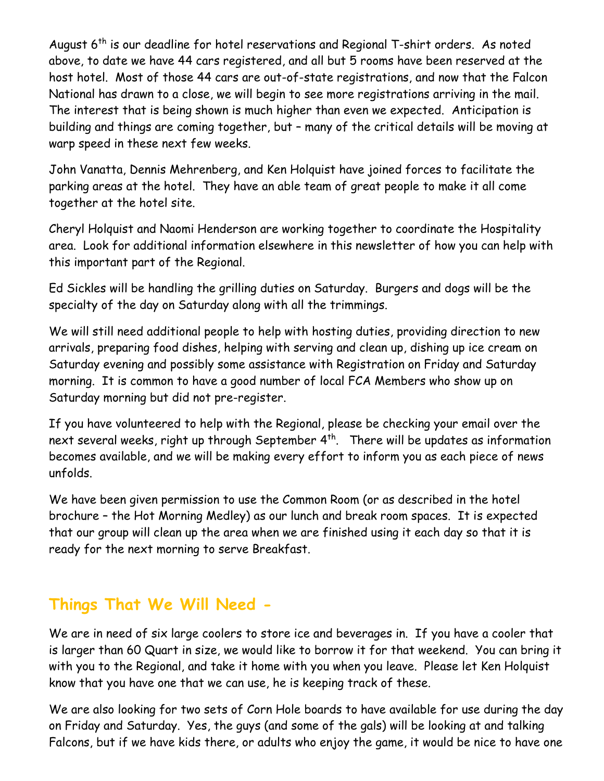August 6<sup>th</sup> is our deadline for hotel reservations and Regional T-shirt orders. As noted above, to date we have 44 cars registered, and all but 5 rooms have been reserved at the host hotel. Most of those 44 cars are out-of-state registrations, and now that the Falcon National has drawn to a close, we will begin to see more registrations arriving in the mail. The interest that is being shown is much higher than even we expected. Anticipation is building and things are coming together, but – many of the critical details will be moving at warp speed in these next few weeks.

John Vanatta, Dennis Mehrenberg, and Ken Holquist have joined forces to facilitate the parking areas at the hotel. They have an able team of great people to make it all come together at the hotel site.

Cheryl Holquist and Naomi Henderson are working together to coordinate the Hospitality area. Look for additional information elsewhere in this newsletter of how you can help with this important part of the Regional.

Ed Sickles will be handling the grilling duties on Saturday. Burgers and dogs will be the specialty of the day on Saturday along with all the trimmings.

We will still need additional people to help with hosting duties, providing direction to new arrivals, preparing food dishes, helping with serving and clean up, dishing up ice cream on Saturday evening and possibly some assistance with Registration on Friday and Saturday morning. It is common to have a good number of local FCA Members who show up on Saturday morning but did not pre-register.

If you have volunteered to help with the Regional, please be checking your email over the next several weeks, right up through September 4<sup>th</sup>. There will be updates as information becomes available, and we will be making every effort to inform you as each piece of news unfolds.

We have been given permission to use the Common Room (or as described in the hotel brochure – the Hot Morning Medley) as our lunch and break room spaces. It is expected that our group will clean up the area when we are finished using it each day so that it is ready for the next morning to serve Breakfast.

### **Things That We Will Need -**

We are in need of six large coolers to store ice and beverages in. If you have a cooler that is larger than 60 Quart in size, we would like to borrow it for that weekend. You can bring it with you to the Regional, and take it home with you when you leave. Please let Ken Holquist know that you have one that we can use, he is keeping track of these.

We are also looking for two sets of Corn Hole boards to have available for use during the day on Friday and Saturday. Yes, the guys (and some of the gals) will be looking at and talking Falcons, but if we have kids there, or adults who enjoy the game, it would be nice to have one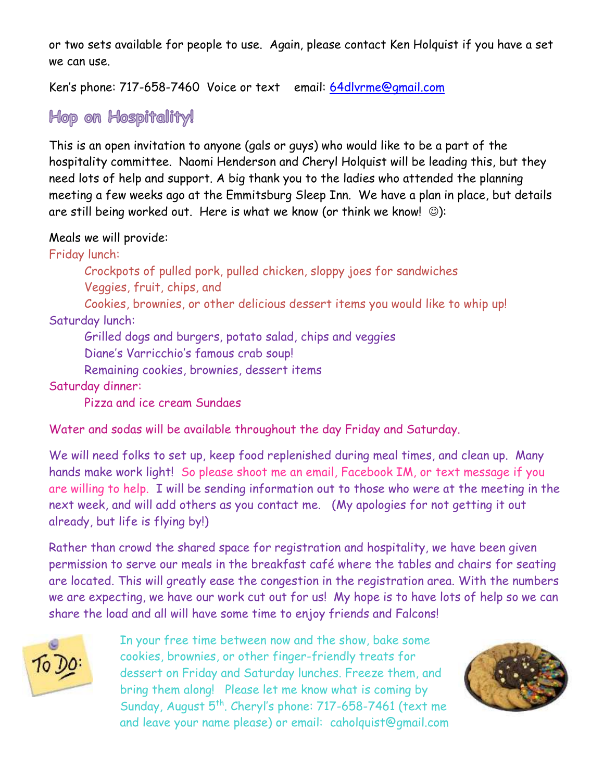or two sets available for people to use. Again, please contact Ken Holquist if you have a set we can use.

Ken's phone: 717-658-7460 Voice or text email: [64dlvrme@gmail.com](mailto:64dlvrme@gmail.com)

Hop on Hospitality!

This is an open invitation to anyone (gals or guys) who would like to be a part of the hospitality committee. Naomi Henderson and Cheryl Holquist will be leading this, but they need lots of help and support. A big thank you to the ladies who attended the planning meeting a few weeks ago at the Emmitsburg Sleep Inn. We have a plan in place, but details are still being worked out. Here is what we know (or think we know!  $\circledcirc$ ):

Meals we will provide:

Friday lunch:

Crockpots of pulled pork, pulled chicken, sloppy joes for sandwiches Veggies, fruit, chips, and

Cookies, brownies, or other delicious dessert items you would like to whip up! Saturday lunch:

Grilled dogs and burgers, potato salad, chips and veggies

Diane's Varricchio's famous crab soup!

Remaining cookies, brownies, dessert items

Saturday dinner:

Pizza and ice cream Sundaes

Water and sodas will be available throughout the day Friday and Saturday.

We will need folks to set up, keep food replenished during meal times, and clean up. Many hands make work light! So please shoot me an email, Facebook IM, or text message if you are willing to help. I will be sending information out to those who were at the meeting in the next week, and will add others as you contact me. (My apologies for not getting it out already, but life is flying by!)

Rather than crowd the shared space for registration and hospitality, we have been given permission to serve our meals in the breakfast café where the tables and chairs for seating are located. This will greatly ease the congestion in the registration area. With the numbers we are expecting, we have our work cut out for us! My hope is to have lots of help so we can share the load and all will have some time to enjoy friends and Falcons!

70 I

In your free time between now and the show, bake some cookies, brownies, or other finger-friendly treats for dessert on Friday and Saturday lunches. Freeze them, and bring them along! Please let me know what is coming by Sunday, August 5<sup>th</sup>. Cheryl's phone: 717-658-7461 (text me and leave your name please) or email: caholquist@gmail.com

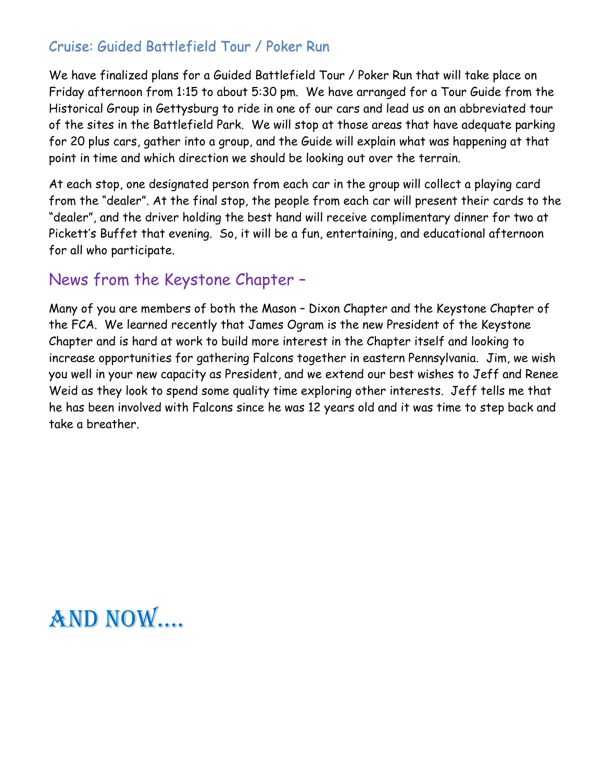### Cruise: Guided Battlefield Tour / Poker Run

We have finalized plans for a Guided Battlefield Tour / Poker Run that will take place on Friday afternoon from 1:15 to about 5:30 pm. We have arranged for a Tour Guide from the Historical Group in Gettysburg to ride in one of our cars and lead us on an abbreviated tour of the sites in the Battlefield Park. We will stop at those areas that have adequate parking for 20 plus cars, gather into a group, and the Guide will explain what was happening at that point in time and which direction we should be looking out over the terrain.

At each stop, one designated person from each car in the group will collect a playing card from the "dealer". At the final stop, the people from each car will present their cards to the "dealer", and the driver holding the best hand will receive complimentary dinner for two at Pickett's Buffet that evening. So, it will be a fun, entertaining, and educational afternoon for all who participate.

### News from the Keystone Chapter –

Many of you are members of both the Mason – Dixon Chapter and the Keystone Chapter of the FCA. We learned recently that James Ogram is the new President of the Keystone Chapter and is hard at work to build more interest in the Chapter itself and looking to increase opportunities for gathering Falcons together in eastern Pennsylvania. Jim, we wish you well in your new capacity as President, and we extend our best wishes to Jeff and Renee Weid as they look to spend some quality time exploring other interests. Jeff tells me that he has been involved with Falcons since he was 12 years old and it was time to step back and take a breather.

## And now….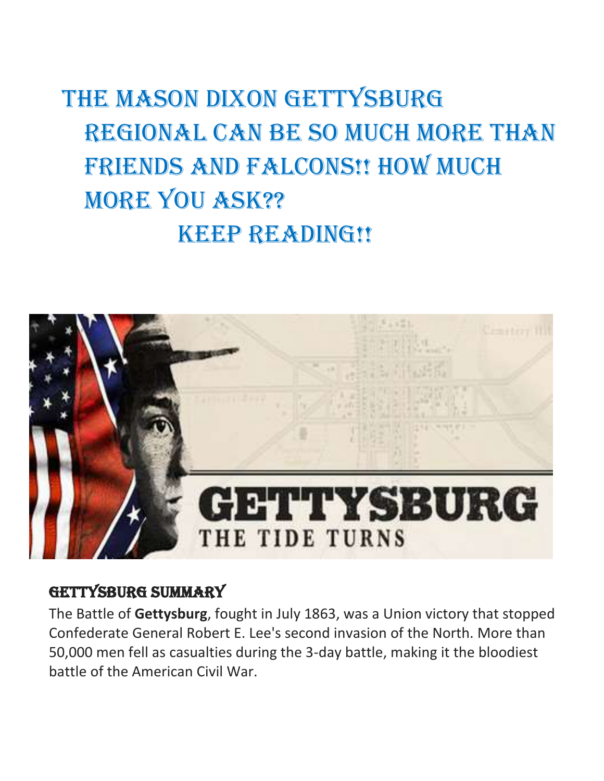## THE MASON DIXON GETTYSBURG REGIONAL CAN BE SO MUCH MORE THAN FRIENDS AND FALCONS!! HOW MUCH more you ask?? KEEP READING!!



### Gettysburg summary

The Battle of **Gettysburg**, fought in July 1863, was a Union victory that stopped Confederate General Robert E. Lee's second invasion of the North. More than 50,000 men fell as casualties during the 3-day battle, making it the bloodiest battle of the American Civil War.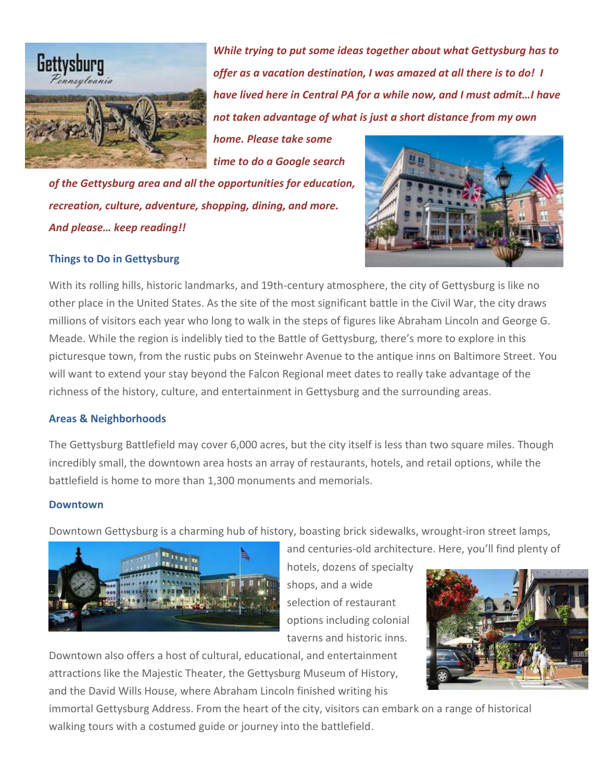

*While trying to put some ideas together about what Gettysburg has to offer as a vacation destination, I was amazed at all there is to do! I have lived here in Central PA for a while now, and I must admit…I have not taken advantage of what is just a short distance from my own* 

*home. Please take some time to do a Google search* 

*of the Gettysburg area and all the opportunities for education, recreation, culture, adventure, shopping, dining, and more. And please… keep reading!!*



### **Things to Do in Gettysburg**

With its rolling hills, historic landmarks, and 19th-century atmosphere, the city of Gettysburg is like no other place in the United States. As the site of the most significant battle in the Civil War, the city draws millions of visitors each year who long to walk in the steps of figures like Abraham Lincoln and George G. Meade. While the region is indelibly tied to the Battle of Gettysburg, there's more to explore in this picturesque town, from the rustic pubs on Steinwehr Avenue to the antique inns on Baltimore Street. You will want to extend your stay beyond the Falcon Regional meet dates to really take advantage of the richness of the history, culture, and entertainment in Gettysburg and the surrounding areas.

### **Areas & Neighborhoods**

The Gettysburg Battlefield may cover 6,000 acres, but the city itself is less than two square miles. Though incredibly small, the downtown area hosts an array of restaurants, hotels, and retail options, while the battlefield is home to more than 1,300 monuments and memorials.

### **Downtown**

Downtown Gettysburg is a charming hub of history, boasting brick sidewalks, wrought-iron street lamps,



hotels, dozens of specialty shops, and a wide selection of restaurant options including colonial taverns and historic inns.

and centuries-old architecture. Here, you'll find plenty of



Downtown also offers a host of cultural, educational, and entertainment attractions like the Majestic Theater, the Gettysburg Museum of History, and the David Wills House, where Abraham Lincoln finished writing his

immortal Gettysburg Address. From the heart of the city, visitors can embark on a range of historical walking tours with a costumed guide or journey into the battlefield.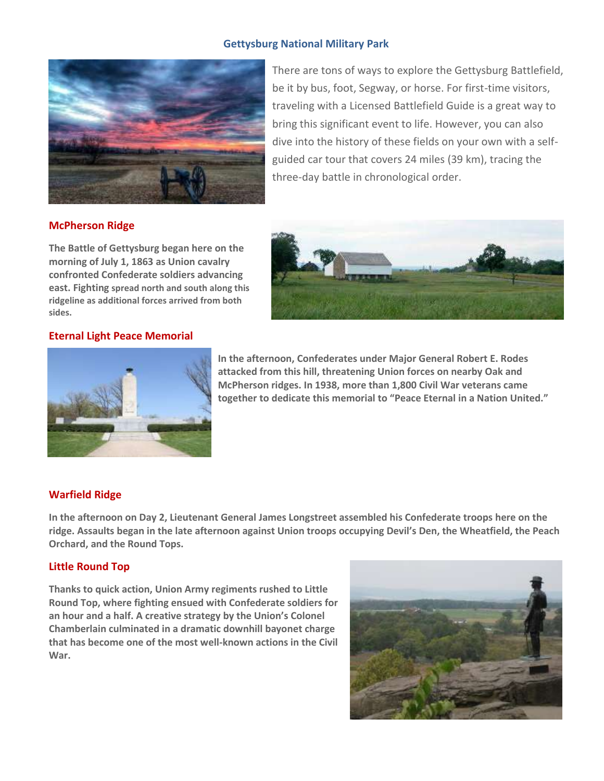### **Gettysburg National Military Park**



There are tons of ways to explore the Gettysburg Battlefield, be it by bus, foot, Segway, or horse. For first-time visitors, traveling with a Licensed Battlefield Guide is a great way to bring this significant event to life. However, you can also dive into the history of these fields on your own with a selfguided car tour that covers 24 miles (39 km), tracing the three-day battle in chronological order.

### **McPherson Ridge**

**The Battle of Gettysburg began here on the morning of July 1, 1863 as Union cavalry confronted Confederate soldiers advancing east. Fighting spread north and south along this ridgeline as additional forces arrived from both sides.** 

### **Eternal Light Peace Memorial**



**In the afternoon, Confederates under Major General Robert E. Rodes attacked from this hill, threatening Union forces on nearby Oak and McPherson ridges. In 1938, more than 1,800 Civil War veterans came together to dedicate this memorial to "Peace Eternal in a Nation United."** 

### **Warfield Ridge**

**In the afternoon on Day 2, Lieutenant General James Longstreet assembled his Confederate troops here on the ridge. Assaults began in the late afternoon against Union troops occupying Devil's Den, the Wheatfield, the Peach Orchard, and the Round Tops.** 

### **Little Round Top**

**Thanks to quick action, Union Army regiments rushed to Little Round Top, where fighting ensued with Confederate soldiers for an hour and a half. A creative strategy by the Union's Colonel Chamberlain culminated in a dramatic downhill bayonet charge that has become one of the most well-known actions in the Civil War.** 

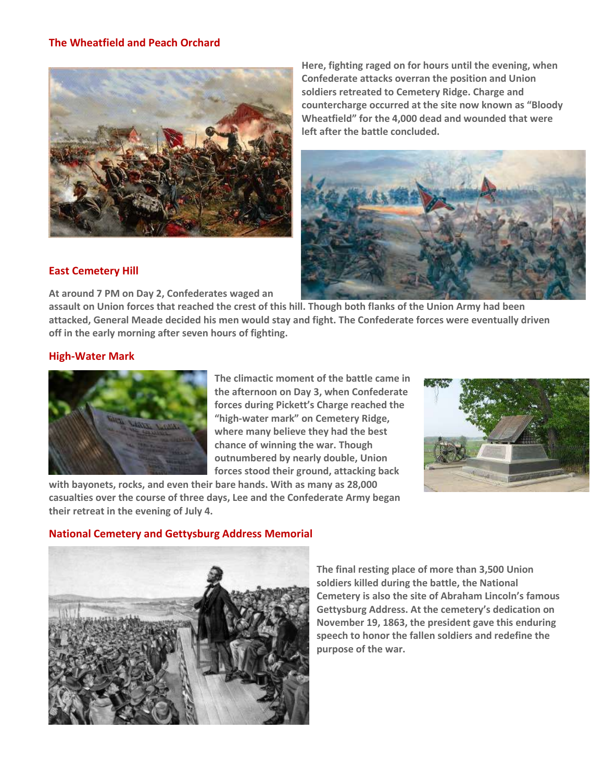### **The Wheatfield and Peach Orchard**



**Here, fighting raged on for hours until the evening, when Confederate attacks overran the position and Union soldiers retreated to Cemetery Ridge. Charge and countercharge occurred at the site now known as "Bloody Wheatfield" for the 4,000 dead and wounded that were left after the battle concluded.** 



### **East Cemetery Hill**

**At around 7 PM on Day 2, Confederates waged an** 

**assault on Union forces that reached the crest of this hill. Though both flanks of the Union Army had been attacked, General Meade decided his men would stay and fight. The Confederate forces were eventually driven off in the early morning after seven hours of fighting.** 

### **High-Water Mark**



**The climactic moment of the battle came in the afternoon on Day 3, when Confederate forces during Pickett's Charge reached the "high-water mark" on Cemetery Ridge, where many believe they had the best chance of winning the war. Though outnumbered by nearly double, Union forces stood their ground, attacking back** 



**with bayonets, rocks, and even their bare hands. With as many as 28,000 casualties over the course of three days, Lee and the Confederate Army began their retreat in the evening of July 4.** 

### **National Cemetery and Gettysburg Address Memorial**



**The final resting place of more than 3,500 Union soldiers killed during the battle, the National Cemetery is also the site of Abraham Lincoln's famous Gettysburg Address. At the cemetery's dedication on November 19, 1863, the president gave this enduring speech to honor the fallen soldiers and redefine the purpose of the war.**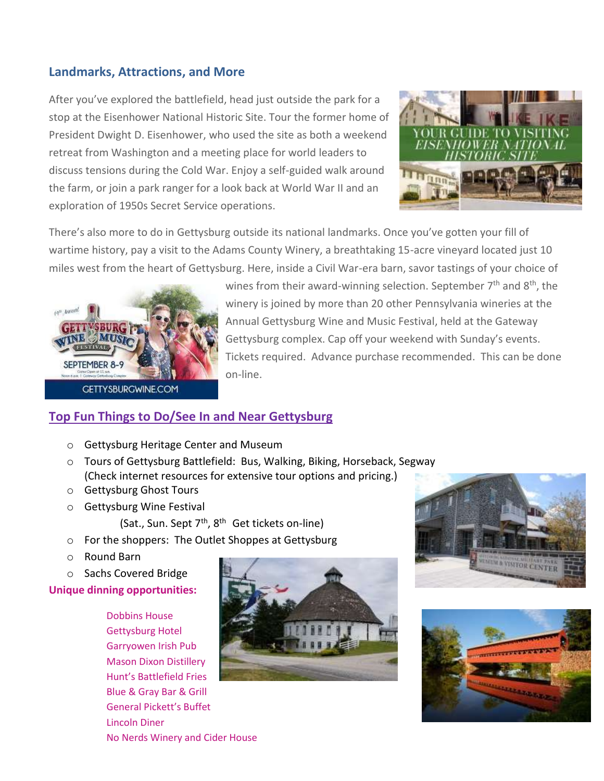### **Landmarks, Attractions, and More**

After you've explored the battlefield, head just outside the park for a stop at the Eisenhower National Historic Site. Tour the former home of President Dwight D. Eisenhower, who used the site as both a weekend retreat from Washington and a meeting place for world leaders to discuss tensions during the Cold War. Enjoy a self-guided walk around the farm, or join a park ranger for a look back at World War II and an exploration of 1950s Secret Service operations.



There's also more to do in Gettysburg outside its national landmarks. Once you've gotten your fill of wartime history, pay a visit to the Adams County Winery, a breathtaking 15-acre vineyard located just 10 miles west from the heart of Gettysburg. Here, inside a Civil War-era barn, savor tastings of your choice of



wines from their award-winning selection. September  $7<sup>th</sup>$  and  $8<sup>th</sup>$ , the winery is joined by more than 20 other Pennsylvania wineries at the Annual Gettysburg Wine and Music Festival, held at the Gateway Gettysburg complex. Cap off your weekend with Sunday's events. Tickets required. Advance purchase recommended. This can be done on-line.

### **Top Fun Things to Do/See In and Near Gettysburg**

- o Gettysburg Heritage Center and Museum
- o Tours of Gettysburg Battlefield: Bus, Walking, Biking, Horseback, Segway (Check internet resources for extensive tour options and pricing.)
- o Gettysburg Ghost Tours
- o Gettysburg Wine Festival
	- (Sat., Sun. Sept  $7<sup>th</sup>$ , 8<sup>th</sup> Get tickets on-line)
- o For the shoppers: The Outlet Shoppes at Gettysburg
- o Round Barn
- o Sachs Covered Bridge

**Unique dinning opportunities:**

Dobbins House Gettysburg Hotel Garryowen Irish Pub Mason Dixon Distillery Hunt's Battlefield Fries Blue & Gray Bar & Grill General Pickett's Buffet Lincoln Diner No Nerds Winery and Cider House





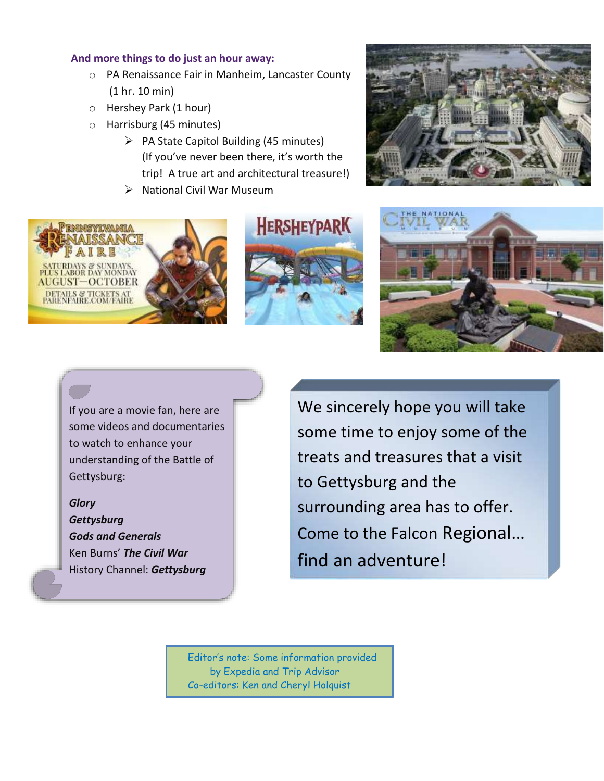### **And more things to do just an hour away:**

- o PA Renaissance Fair in Manheim, Lancaster County (1 hr. 10 min)
- o Hershey Park (1 hour)
- o Harrisburg (45 minutes)
	- ➢ PA State Capitol Building (45 minutes) (If you've never been there, it's worth the trip! A true art and architectural treasure!)
	- ➢ National Civil War Museum









If you are a movie fan, here are some videos and documentaries to watch to enhance your understanding of the Battle of Gettysburg:

*Glory*

*Gettysburg Gods and Generals* Ken Burns' *The Civil War* History Channel: *Gettysburg* We sincerely hope you will take some time to enjoy some of the treats and treasures that a visit to Gettysburg and the surrounding area has to offer. Come to the Falcon Regional… find an adventure!

Editor's note: Some information provided by Expedia and Trip Advisor Co-editors: Ken and Cheryl Holquist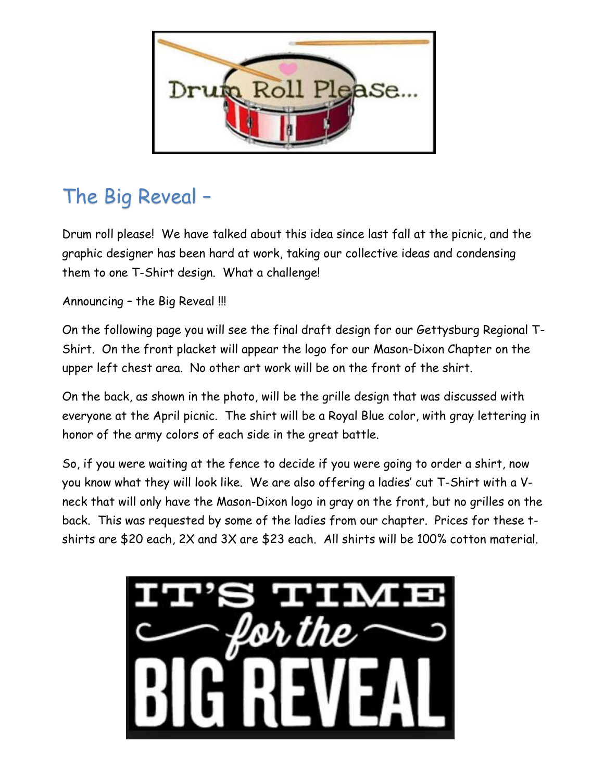

## The Big Reveal –

Drum roll please! We have talked about this idea since last fall at the picnic, and the graphic designer has been hard at work, taking our collective ideas and condensing them to one T-Shirt design. What a challenge!

Announcing – the Big Reveal !!!

On the following page you will see the final draft design for our Gettysburg Regional T-Shirt. On the front placket will appear the logo for our Mason-Dixon Chapter on the upper left chest area. No other art work will be on the front of the shirt.

On the back, as shown in the photo, will be the grille design that was discussed with everyone at the April picnic. The shirt will be a Royal Blue color, with gray lettering in honor of the army colors of each side in the great battle.

So, if you were waiting at the fence to decide if you were going to order a shirt, now you know what they will look like. We are also offering a ladies' cut T-Shirt with a Vneck that will only have the Mason-Dixon logo in gray on the front, but no grilles on the back. This was requested by some of the ladies from our chapter. Prices for these tshirts are \$20 each, 2X and 3X are \$23 each. All shirts will be 100% cotton material.